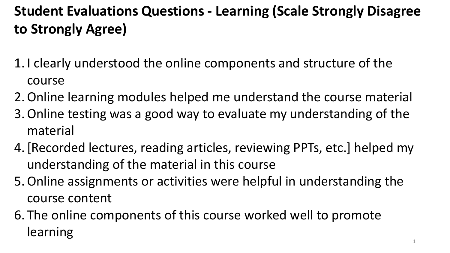### **Student Evaluations Questions - Learning (Scale Strongly Disagree to Strongly Agree)**

- 1. I clearly understood the online components and structure of the course
- 2.Online learning modules helped me understand the course material
- 3.Online testing was a good way to evaluate my understanding of the material
- 4.[Recorded lectures, reading articles, reviewing PPTs, etc.] helped my understanding of the material in this course
- 5.Online assignments or activities were helpful in understanding the course content
- 6. The online components of this course worked well to promote learning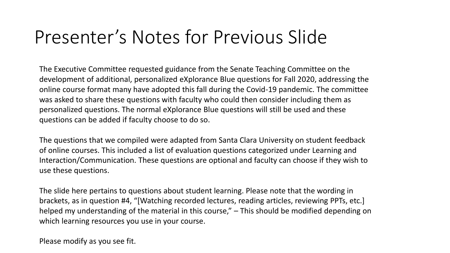## Presenter's Notes for Previous Slide

The Executive Committee requested guidance from the Senate Teaching Committee on the development of additional, personalized eXplorance Blue questions for Fall 2020, addressing the online course format many have adopted this fall during the Covid-19 pandemic. The committee was asked to share these questions with faculty who could then consider including them as personalized questions. The normal eXplorance Blue questions will still be used and these questions can be added if faculty choose to do so.

The questions that we compiled were adapted from Santa Clara University on student feedback of online courses. This included a list of evaluation questions categorized under Learning and Interaction/Communication. These questions are optional and faculty can choose if they wish to use these questions.

The slide here pertains to questions about student learning. Please note that the wording in brackets, as in question #4, "[Watching recorded lectures, reading articles, reviewing PPTs, etc.] helped my understanding of the material in this course," – This should be modified depending on which learning resources you use in your course.

Please modify as you see fit.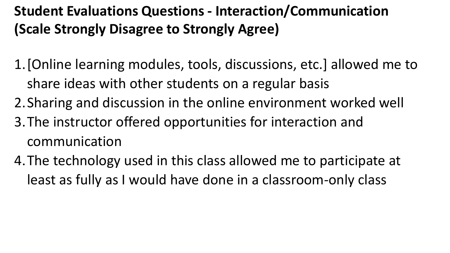#### **Student Evaluations Questions - Interaction/Communication (Scale Strongly Disagree to Strongly Agree)**

- 1.[Online learning modules, tools, discussions, etc.] allowed me to share ideas with other students on a regular basis
- 2.Sharing and discussion in the online environment worked well
- 3.The instructor offered opportunities for interaction and communication
- 4.The technology used in this class allowed me to participate at least as fully as I would have done in a classroom-only class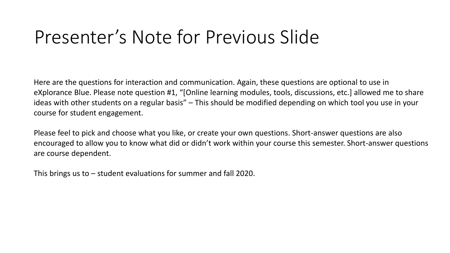## Presenter's Note for Previous Slide

Here are the questions for interaction and communication. Again, these questions are optional to use in eXplorance Blue. Please note question #1, "[Online learning modules, tools, discussions, etc.] allowed me to share ideas with other students on a regular basis" – This should be modified depending on which tool you use in your course for student engagement.

Please feel to pick and choose what you like, or create your own questions. Short-answer questions are also encouraged to allow you to know what did or didn't work within your course this semester. Short-answer questions are course dependent.

This brings us to – student evaluations for summer and fall 2020.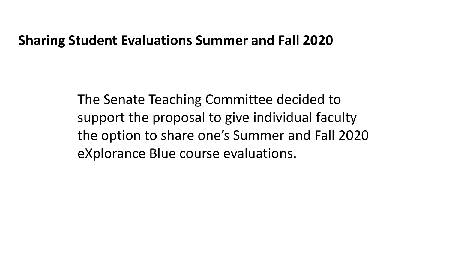#### **Sharing Student Evaluations Summer and Fall 2020**

The Senate Teaching Committee decided to support the proposal to give individual faculty the option to share one's Summer and Fall 2020 eXplorance Blue course evaluations.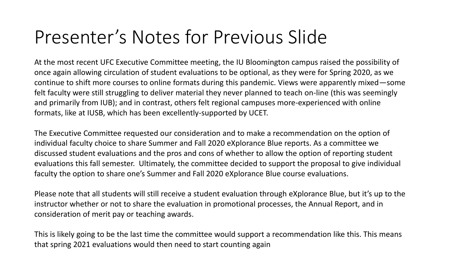# Presenter's Notes for Previous Slide

At the most recent UFC Executive Committee meeting, the IU Bloomington campus raised the possibility of once again allowing circulation of student evaluations to be optional, as they were for Spring 2020, as we continue to shift more courses to online formats during this pandemic. Views were apparently mixed—some felt faculty were still struggling to deliver material they never planned to teach on-line (this was seemingly and primarily from IUB); and in contrast, others felt regional campuses more-experienced with online formats, like at IUSB, which has been excellently-supported by UCET.

The Executive Committee requested our consideration and to make a recommendation on the option of individual faculty choice to share Summer and Fall 2020 eXplorance Blue reports. As a committee we discussed student evaluations and the pros and cons of whether to allow the option of reporting student evaluations this fall semester. Ultimately, the committee decided to support the proposal to give individual faculty the option to share one's Summer and Fall 2020 eXplorance Blue course evaluations.

Please note that all students will still receive a student evaluation through eXplorance Blue, but it's up to the instructor whether or not to share the evaluation in promotional processes, the Annual Report, and in consideration of merit pay or teaching awards.

This is likely going to be the last time the committee would support a recommendation like this. This means that spring 2021 evaluations would then need to start counting again